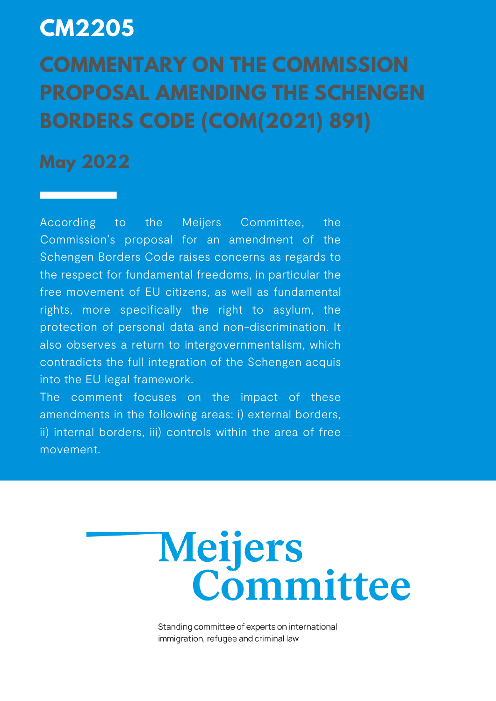## **CM2205**

# **COMMENTARY ON THE COMMISSION PROPOSAL AMENDING THE SCHENGEN BORDERS CODE (COM(2021) 891)**

### **May 2022**

According to the Meijers Committee, the Commission's proposal for an amendment of the Schengen Borders Code raises concerns as regards to the respect for fundamental freedoms, in particular the free movement of EU citizens, as well as fundamental rights, more specifically the right to asylum, the protection of personal data and non-discrimination. It also observes a return to intergovernmentalism, which contradicts the full integration of the Schengen acquis into the EU legal framework.

The comment focuses on the impact of these amendments in the following areas: i) external borders, ii) internal borders, iii) controls within the area of free movement.



Standing committee of experts on international immigration, refugee and criminal law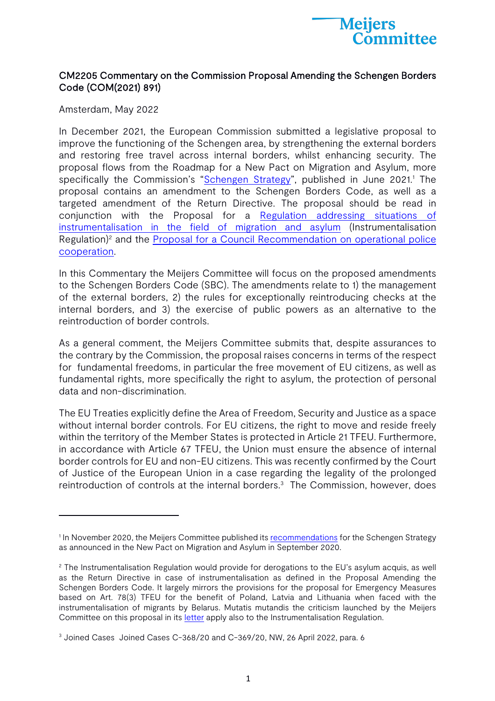

#### CM2205 Commentary on the Commission Proposal Amending the Schengen Borders Code (COM(2021) 891)

Amsterdam, May 2022

In December 2021, the European Commission submitted a legislative proposal to improve the functioning of the Schengen area, by strengthening the external borders and restoring free travel across internal borders, whilst enhancing security. The proposal flows from the Roadmap for a New Pact on Migration and Asylum, more specifically the Commission's "Schengen Strategy", published in June 2021.<sup>1</sup> The proposal contains an amendment to the Schengen Borders Code, as well as a targeted amendment of the Return Directive. The proposal should be read in conjunction with the Proposal for a Regulation addressing situations of instrumentalisation in the field of migration and asylum (Instrumentalisation Regulation)<sup>2</sup> and the Proposal for a Council Recommendation on operational police cooperation.

In this Commentary the Meijers Committee will focus on the proposed amendments to the Schengen Borders Code (SBC). The amendments relate to 1) the management of the external borders, 2) the rules for exceptionally reintroducing checks at the internal borders, and 3) the exercise of public powers as an alternative to the reintroduction of border controls.

As a general comment, the Meijers Committee submits that, despite assurances to the contrary by the Commission, the proposal raises concerns in terms of the respect for fundamental freedoms, in particular the free movement of EU citizens, as well as fundamental rights, more specifically the right to asylum, the protection of personal data and non-discrimination.

The EU Treaties explicitly define the Area of Freedom, Security and Justice as a space without internal border controls. For EU citizens, the right to move and reside freely within the territory of the Member States is protected in Article 21 TFEU. Furthermore, in accordance with Article 67 TFEU, the Union must ensure the absence of internal border controls for EU and non-EU citizens. This was recently confirmed by the Court of Justice of the European Union in a case regarding the legality of the prolonged reintroduction of controls at the internal borders.<sup>3</sup> The Commission, however, does

<sup>&</sup>lt;sup>1</sup> In November 2020, the Meijers Committee published its recommendations for the Schengen Strategy as announced in the New Pact on Migration and Asylum in September 2020.

<sup>&</sup>lt;sup>2</sup> The Instrumentalisation Regulation would provide for derogations to the EU's asylum acquis, as well as the Return Directive in case of instrumentalisation as defined in the Proposal Amending the Schengen Borders Code. It largely mirrors the provisions for the proposal for Emergency Measures based on Art. 78(3) TFEU for the benefit of Poland, Latvia and Lithuania when faced with the instrumentalisation of migrants by Belarus. Mutatis mutandis the criticism launched by the Meijers Committee on this proposal in its letter apply also to the Instrumentalisation Regulation.

<sup>&</sup>lt;sup>3</sup> Joined Cases Joined Cases C-368/20 and C-369/20, NW, 26 April 2022, para. 6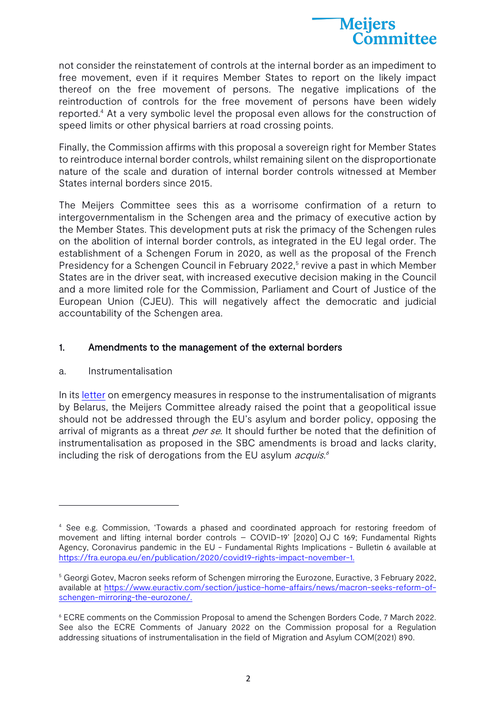

not consider the reinstatement of controls at the internal border as an impediment to free movement, even if it requires Member States to report on the likely impact thereof on the free movement of persons. The negative implications of the reintroduction of controls for the free movement of persons have been widely reported.4 At a very symbolic level the proposal even allows for the construction of speed limits or other physical barriers at road crossing points.

Finally, the Commission affirms with this proposal a sovereign right for Member States to reintroduce internal border controls, whilst remaining silent on the disproportionate nature of the scale and duration of internal border controls witnessed at Member States internal borders since 2015.

The Meijers Committee sees this as a worrisome confirmation of a return to intergovernmentalism in the Schengen area and the primacy of executive action by the Member States. This development puts at risk the primacy of the Schengen rules on the abolition of internal border controls, as integrated in the EU legal order. The establishment of a Schengen Forum in 2020, as well as the proposal of the French Presidency for a Schengen Council in February 2022,<sup>5</sup> revive a past in which Member States are in the driver seat, with increased executive decision making in the Council and a more limited role for the Commission, Parliament and Court of Justice of the European Union (CJEU). This will negatively affect the democratic and judicial accountability of the Schengen area.

#### 1. Amendments to the management of the external borders

#### a. Instrumentalisation

In its letter on emergency measures in response to the instrumentalisation of migrants by Belarus, the Meijers Committee already raised the point that a geopolitical issue should not be addressed through the EU's asylum and border policy, opposing the arrival of migrants as a threat per se. It should further be noted that the definition of instrumentalisation as proposed in the SBC amendments is broad and lacks clarity, including the risk of derogations from the EU asylum *acquis.<sup>6</sup>* 

<sup>4</sup> See e.g. Commission, 'Towards a phased and coordinated approach for restoring freedom of movement and lifting internal border controls – COVID-19' [2020] OJ C 169; Fundamental Rights Agency, Coronavirus pandemic in the EU - Fundamental Rights Implications - Bulletin 6 available at https://fra.europa.eu/en/publication/2020/covid19-rights-impact-november-1.

<sup>&</sup>lt;sup>5</sup> Georgi Gotev, Macron seeks reform of Schengen mirroring the Eurozone, Euractive, 3 February 2022, available at https://www.euractiv.com/section/justice-home-affairs/news/macron-seeks-reform-ofschengen-mirroring-the-eurozone/.

<sup>6</sup> ECRE comments on the Commission Proposal to amend the Schengen Borders Code, 7 March 2022. See also the ECRE Comments of January 2022 on the Commission proposal for a Regulation addressing situations of instrumentalisation in the field of Migration and Asylum COM(2021) 890.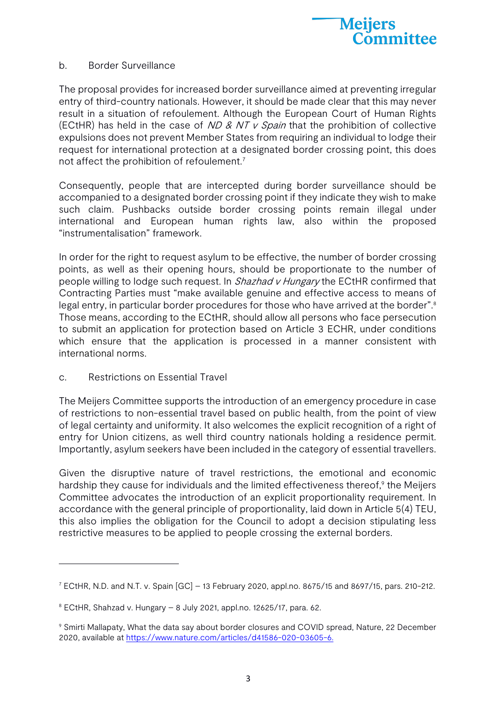

#### b. Border Surveillance

The proposal provides for increased border surveillance aimed at preventing irregular entry of third-country nationals. However, it should be made clear that this may never result in a situation of refoulement. Although the European Court of Human Rights (ECtHR) has held in the case of  $ND & NT & V$  Spain that the prohibition of collective expulsions does not prevent Member States from requiring an individual to lodge their request for international protection at a designated border crossing point, this does not affect the prohibition of refoulement.<sup>7</sup>

Consequently, people that are intercepted during border surveillance should be accompanied to a designated border crossing point if they indicate they wish to make such claim. Pushbacks outside border crossing points remain illegal under international and European human rights law, also within the proposed "instrumentalisation" framework.

In order for the right to request asylum to be effective, the number of border crossing points, as well as their opening hours, should be proportionate to the number of people willing to lodge such request. In Shazhad v Hungary the ECtHR confirmed that Contracting Parties must "make available genuine and effective access to means of legal entry, in particular border procedures for those who have arrived at the border".<sup>8</sup> Those means, according to the ECtHR, should allow all persons who face persecution to submit an application for protection based on Article 3 ECHR, under conditions which ensure that the application is processed in a manner consistent with international norms.

c. Restrictions on Essential Travel

The Meijers Committee supports the introduction of an emergency procedure in case of restrictions to non-essential travel based on public health, from the point of view of legal certainty and uniformity. It also welcomes the explicit recognition of a right of entry for Union citizens, as well third country nationals holding a residence permit. Importantly, asylum seekers have been included in the category of essential travellers.

Given the disruptive nature of travel restrictions, the emotional and economic hardship they cause for individuals and the limited effectiveness thereof,<sup>9</sup> the Meijers Committee advocates the introduction of an explicit proportionality requirement. In accordance with the general principle of proportionality, laid down in Article 5(4) TEU, this also implies the obligation for the Council to adopt a decision stipulating less restrictive measures to be applied to people crossing the external borders.

 $7$  ECtHR, N.D. and N.T. v. Spain  $[GC] - 13$  February 2020, appl.no. 8675/15 and 8697/15, pars. 210-212.

 $8$  ECtHR, Shahzad v. Hungary – 8 July 2021, appl.no. 12625/17, para. 62.

<sup>9</sup> Smirti Mallapaty, What the data say about border closures and COVID spread, Nature, 22 December 2020, available at https://www.nature.com/articles/d41586-020-03605-6.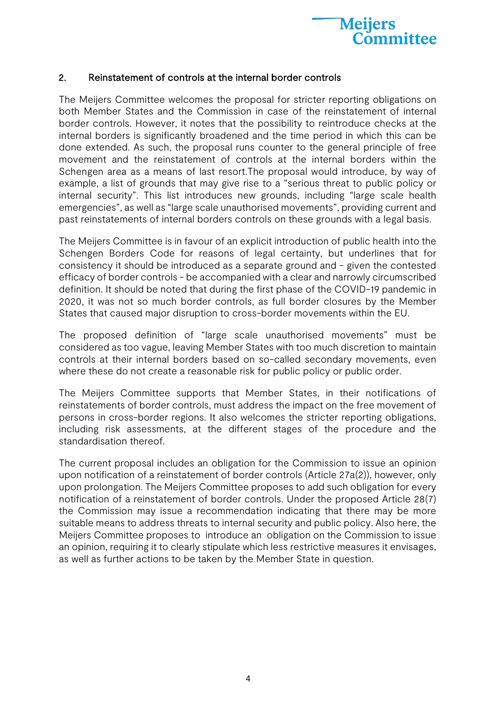

#### 2. Reinstatement of controls at the internal border controls

The Meijers Committee welcomes the proposal for stricter reporting obligations on both Member States and the Commission in case of the reinstatement of internal border controls. However, it notes that the possibility to reintroduce checks at the internal borders is significantly broadened and the time period in which this can be done extended. As such, the proposal runs counter to the general principle of free movement and the reinstatement of controls at the internal borders within the Schengen area as a means of last resort.The proposal would introduce, by way of example, a list of grounds that may give rise to a "serious threat to public policy or internal security". This list introduces new grounds, including "large scale health emergencies", as well as "large scale unauthorised movements", providing current and past reinstatements of internal borders controls on these grounds with a legal basis.

The Meijers Committee is in favour of an explicit introduction of public health into the Schengen Borders Code for reasons of legal certainty, but underlines that for consistency it should be introduced as a separate ground and - given the contested efficacy of border controls - be accompanied with a clear and narrowly circumscribed definition. It should be noted that during the first phase of the COVID-19 pandemic in 2020, it was not so much border controls, as full border closures by the Member States that caused major disruption to cross-border movements within the EU.

The proposed definition of "large scale unauthorised movements" must be considered as too vague, leaving Member States with too much discretion to maintain controls at their internal borders based on so-called secondary movements, even where these do not create a reasonable risk for public policy or public order.

The Meijers Committee supports that Member States, in their notifications of reinstatements of border controls, must address the impact on the free movement of persons in cross-border regions. It also welcomes the stricter reporting obligations, including risk assessments, at the different stages of the procedure and the standardisation thereof.

The current proposal includes an obligation for the Commission to issue an opinion upon notification of a reinstatement of border controls (Article 27a(2)), however, only upon prolongation. The Meijers Committee proposes to add such obligation for every notification of a reinstatement of border controls. Under the proposed Article 28(7) the Commission may issue a recommendation indicating that there may be more suitable means to address threats to internal security and public policy. Also here, the Meijers Committee proposes to introduce an obligation on the Commission to issue an opinion, requiring it to clearly stipulate which less restrictive measures it envisages, as well as further actions to be taken by the Member State in question.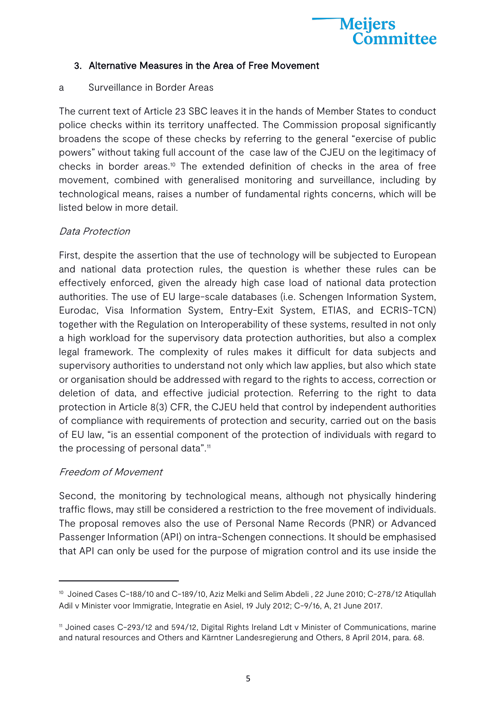

#### 3. Alternative Measures in the Area of Free Movement

#### a Surveillance in Border Areas

The current text of Article 23 SBC leaves it in the hands of Member States to conduct police checks within its territory unaffected. The Commission proposal significantly broadens the scope of these checks by referring to the general "exercise of public powers" without taking full account of the case law of the CJEU on the legitimacy of checks in border areas.10 The extended definition of checks in the area of free movement, combined with generalised monitoring and surveillance, including by technological means, raises a number of fundamental rights concerns, which will be listed below in more detail.

#### Data Protection

First, despite the assertion that the use of technology will be subjected to European and national data protection rules, the question is whether these rules can be effectively enforced, given the already high case load of national data protection authorities. The use of EU large-scale databases (i.e. Schengen Information System, Eurodac, Visa Information System, Entry-Exit System, ETIAS, and ECRIS-TCN) together with the Regulation on Interoperability of these systems, resulted in not only a high workload for the supervisory data protection authorities, but also a complex legal framework. The complexity of rules makes it difficult for data subjects and supervisory authorities to understand not only which law applies, but also which state or organisation should be addressed with regard to the rights to access, correction or deletion of data, and effective judicial protection. Referring to the right to data protection in Article 8(3) CFR, the CJEU held that control by independent authorities of compliance with requirements of protection and security, carried out on the basis of EU law, "is an essential component of the protection of individuals with regard to the processing of personal data".<sup>11</sup>

#### Freedom of Movement

Second, the monitoring by technological means, although not physically hindering traffic flows, may still be considered a restriction to the free movement of individuals. The proposal removes also the use of Personal Name Records (PNR) or Advanced Passenger Information (API) on intra-Schengen connections. It should be emphasised that API can only be used for the purpose of migration control and its use inside the

<sup>&</sup>lt;sup>10</sup> Joined Cases C-188/10 and C-189/10, Aziz Melki and Selim Abdeli, 22 June 2010; C-278/12 Atiqullah Adil v Minister voor Immigratie, Integratie en Asiel, 19 July 2012; C-9/16, A, 21 June 2017.

<sup>11</sup> Joined cases C-293/12 and 594/12, Digital Rights Ireland Ldt v Minister of Communications, marine and natural resources and Others and Kärntner Landesregierung and Others, 8 April 2014, para. 68.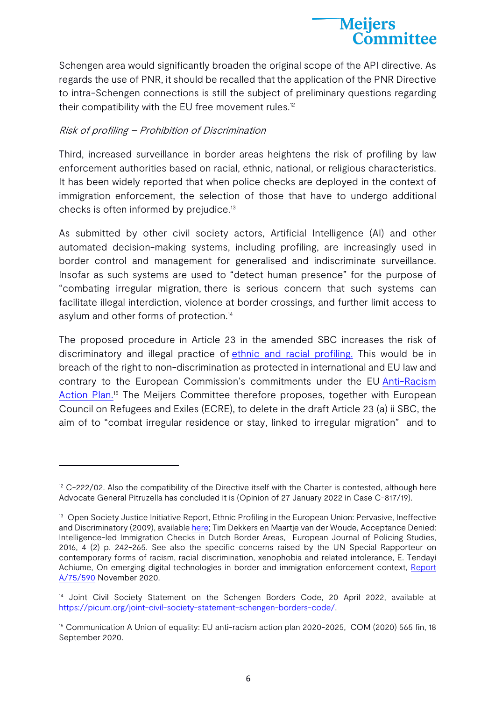

Schengen area would significantly broaden the original scope of the API directive. As regards the use of PNR, it should be recalled that the application of the PNR Directive to intra-Schengen connections is still the subject of preliminary questions regarding their compatibility with the EU free movement rules.<sup>12</sup>

#### Risk of profiling – Prohibition of Discrimination

Third, increased surveillance in border areas heightens the risk of profiling by law enforcement authorities based on racial, ethnic, national, or religious characteristics. It has been widely reported that when police checks are deployed in the context of immigration enforcement, the selection of those that have to undergo additional checks is often informed by prejudice.13

As submitted by other civil society actors, Artificial Intelligence (AI) and other automated decision-making systems, including profiling, are increasingly used in border control and management for generalised and indiscriminate surveillance. Insofar as such systems are used to "detect human presence" for the purpose of "combating irregular migration, there is serious concern that such systems can facilitate illegal interdiction, violence at border crossings, and further limit access to asylum and other forms of protection.14

The proposed procedure in Article 23 in the amended SBC increases the risk of discriminatory and illegal practice of ethnic and racial profiling. This would be in breach of the right to non-discrimination as protected in international and EU law and contrary to the European Commission's commitments under the EU Anti-Racism Action Plan.<sup>15</sup> The Meijers Committee therefore proposes, together with European Council on Refugees and Exiles (ECRE), to delete in the draft Article 23 (a) ii SBC, the aim of to "combat irregular residence or stay, linked to irregular migration" and to

 $12$  C-222/02. Also the compatibility of the Directive itself with the Charter is contested, although here Advocate General Pitruzella has concluded it is (Opinion of 27 January 2022 in Case C-817/19).

<sup>&</sup>lt;sup>13</sup> Open Society Justice Initiative Report, Ethnic Profiling in the European Union: Pervasive, Ineffective and Discriminatory (2009), available here; Tim Dekkers en Maartje van der Woude, Acceptance Denied: Intelligence-led Immigration Checks in Dutch Border Areas, European Journal of Policing Studies, 2016, 4 (2) p. 242-265. See also the specific concerns raised by the UN Special Rapporteur on contemporary forms of racism, racial discrimination, xenophobia and related intolerance, E. Tendayi Achiume, On emerging digital technologies in border and immigration enforcement context, Report A/75/590 November 2020.

<sup>&</sup>lt;sup>14</sup> Joint Civil Society Statement on the Schengen Borders Code, 20 April 2022, available at https://picum.org/joint-civil-society-statement-schengen-borders-code/.

<sup>&</sup>lt;sup>15</sup> Communication A Union of equality: EU anti-racism action plan 2020-2025, COM (2020) 565 fin, 18 September 2020.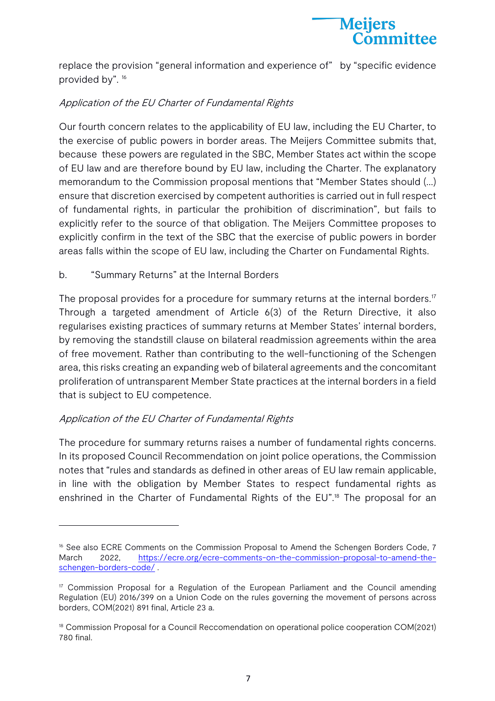

replace the provision "general information and experience of" by "specific evidence provided by". <sup>16</sup>

#### Application of the EU Charter of Fundamental Rights

Our fourth concern relates to the applicability of EU law, including the EU Charter, to the exercise of public powers in border areas. The Meijers Committee submits that, because these powers are regulated in the SBC, Member States act within the scope of EU law and are therefore bound by EU law, including the Charter. The explanatory memorandum to the Commission proposal mentions that "Member States should (…) ensure that discretion exercised by competent authorities is carried out in full respect of fundamental rights, in particular the prohibition of discrimination", but fails to explicitly refer to the source of that obligation. The Meijers Committee proposes to explicitly confirm in the text of the SBC that the exercise of public powers in border areas falls within the scope of EU law, including the Charter on Fundamental Rights.

b. "Summary Returns" at the Internal Borders

The proposal provides for a procedure for summary returns at the internal borders.<sup>17</sup> Through a targeted amendment of Article 6(3) of the Return Directive, it also regularises existing practices of summary returns at Member States' internal borders, by removing the standstill clause on bilateral readmission agreements within the area of free movement. Rather than contributing to the well-functioning of the Schengen area, this risks creating an expanding web of bilateral agreements and the concomitant proliferation of untransparent Member State practices at the internal borders in a field that is subject to EU competence.

#### Application of the EU Charter of Fundamental Rights

The procedure for summary returns raises a number of fundamental rights concerns. In its proposed Council Recommendation on joint police operations, the Commission notes that "rules and standards as defined in other areas of EU law remain applicable, in line with the obligation by Member States to respect fundamental rights as enshrined in the Charter of Fundamental Rights of the EU".<sup>18</sup> The proposal for an

<sup>&</sup>lt;sup>16</sup> See also ECRE Comments on the Commission Proposal to Amend the Schengen Borders Code, 7 March 2022, https://ecre.org/ecre-comments-on-the-commission-proposal-to-amend-theschengen-borders-code/ .

<sup>&</sup>lt;sup>17</sup> Commission Proposal for a Regulation of the European Parliament and the Council amending Regulation (EU) 2016/399 on a Union Code on the rules governing the movement of persons across borders, COM(2021) 891 final, Article 23 a.

<sup>&</sup>lt;sup>18</sup> Commission Proposal for a Council Reccomendation on operational police cooperation COM(2021) 780 final.